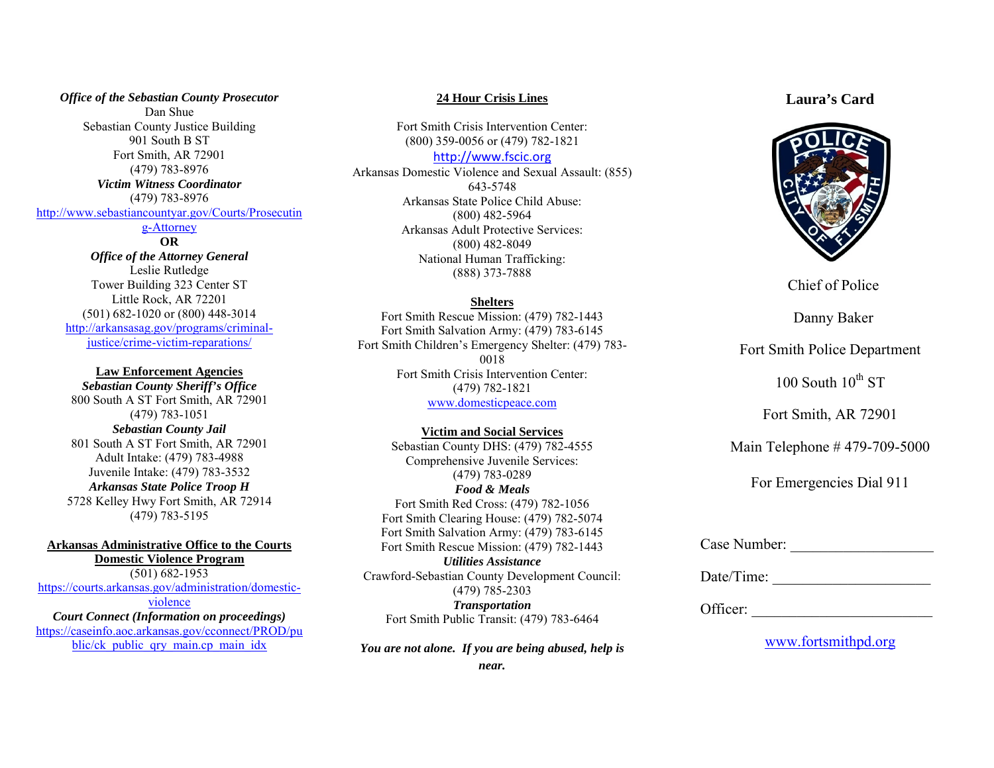*Office of the Sebastian County Prosecutor* Dan Shue Sebastian County Justice Building 901 South B ST Fort Smith, AR 72901 (479) 783-8976 *Victim Witness Coordinator* (479) 783-8976 [http://www.sebastiancountyar.gov/Courts/Prosecutin](http://www.sebastiancountyar.gov/Courts/Prosecuting-Attorney)

### [g-Attorney](http://www.sebastiancountyar.gov/Courts/Prosecuting-Attorney)

**OR** *Office of the Attorney General* Leslie Rutledge Tower Building 323 Center ST Little Rock, AR 72201 (501) 682-1020 or (800) 448-3014 [http://arkansasag.gov/programs/criminal](http://arkansasag.gov/programs/criminal-justice/crime-victim-reparations/)[justice/crime-victim-reparations/](http://arkansasag.gov/programs/criminal-justice/crime-victim-reparations/)

### **Law Enforcement Agencies**

*Sebastian County Sheriff's Office* 800 South A ST Fort Smith, AR 72901 (479) 783-1051 *Sebastian County Jail* 801 South A ST Fort Smith, AR 72901 Adult Intake: (479) 783-4988 Juvenile Intake: (479) 783-3532 *Arkansas State Police Troop H* 5728 Kelley Hwy Fort Smith, AR 72914 (479) 783-5195

**Arkansas Administrative Office to the Courts Domestic Violence Program** (501) 682-1953 [https://courts.arkansas.gov/administration/domestic](https://courts.arkansas.gov/administration/domestic-violence)[violence](https://courts.arkansas.gov/administration/domestic-violence) *Court Connect (Information on proceedings)*

[https://caseinfo.aoc.arkansas.gov/cconnect/PROD/pu](https://caseinfo.aoc.arkansas.gov/cconnect/PROD/public/ck_public_qry_main.cp_main_idx) blic/ck public qry main.cp main idx

#### **24 Hour Crisis Lines**

Fort Smith Crisis Intervention Center: (800) 359-0056 or (479) 782-1821

### [http://www.fscic.org](http://www.fscic.org/)

Arkansas Domestic Violence and Sexual Assault: (855) 643-5748 Arkansas State Police Child Abuse: (800) 482-5964 Arkansas Adult Protective Services: (800) 482-8049 National Human Trafficking: (888) 373-7888

#### **Shelters**

Fort Smith Rescue Mission: (479) 782-1443 Fort Smith Salvation Army: (479) 783-6145 Fort Smith Children's Emergency Shelter: (479) 783- 0018 Fort Smith Crisis Intervention Center: (479) 782-1821

[www.domesticpeace.com](http://www.domesticpeace.com/)

#### **Victim and Social Services**

Sebastian County DHS: (479) 782-4555 Comprehensive Juvenile Services: (479) 783-0289 *Food & Meals* Fort Smith Red Cross: (479) 782-1056 Fort Smith Clearing House: (479) 782-5074 Fort Smith Salvation Army: (479) 783-6145 Fort Smith Rescue Mission: (479) 782-1443 *Utilities Assistance* Crawford-Sebastian County Development Council: (479) 785-2303 *Transportation* Fort Smith Public Transit: (479) 783-6464

*You are not alone. If you are being abused, help is* 

### **Laura's Card**



Chief of Police

## Danny Baker

Fort Smith Police Department

 $100$  South  $10^{th}$  ST

Fort Smith, AR 72901

Main Telephone # 479-709-5000

For Emergencies Dial 911

| Case Number: |  |
|--------------|--|
|--------------|--|

Date/Time: \_\_\_\_\_\_\_\_\_\_\_\_\_\_\_\_\_\_\_\_\_

Officer:

[www.fortsmithpd.org](http://www.fortsmithpd.org/)

*near.*